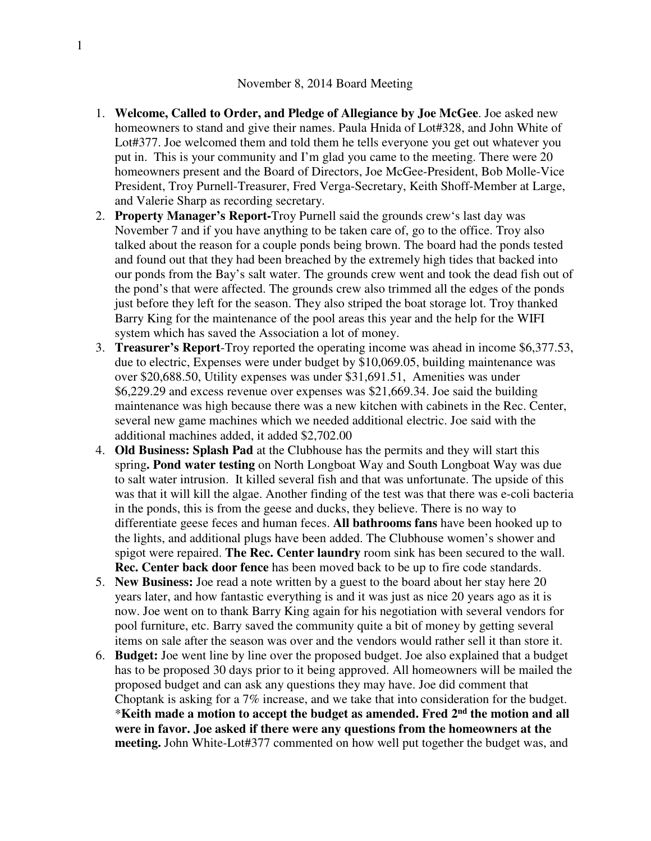- 1. **Welcome, Called to Order, and Pledge of Allegiance by Joe McGee**. Joe asked new homeowners to stand and give their names. Paula Hnida of Lot#328, and John White of Lot#377. Joe welcomed them and told them he tells everyone you get out whatever you put in. This is your community and I'm glad you came to the meeting. There were 20 homeowners present and the Board of Directors, Joe McGee-President, Bob Molle-Vice President, Troy Purnell-Treasurer, Fred Verga-Secretary, Keith Shoff-Member at Large, and Valerie Sharp as recording secretary.
- 2. **Property Manager's Report-**Troy Purnell said the grounds crew's last day was November 7 and if you have anything to be taken care of, go to the office. Troy also talked about the reason for a couple ponds being brown. The board had the ponds tested and found out that they had been breached by the extremely high tides that backed into our ponds from the Bay's salt water. The grounds crew went and took the dead fish out of the pond's that were affected. The grounds crew also trimmed all the edges of the ponds just before they left for the season. They also striped the boat storage lot. Troy thanked Barry King for the maintenance of the pool areas this year and the help for the WIFI system which has saved the Association a lot of money.
- 3. **Treasurer's Report**-Troy reported the operating income was ahead in income \$6,377.53, due to electric, Expenses were under budget by \$10,069.05, building maintenance was over \$20,688.50, Utility expenses was under \$31,691.51, Amenities was under \$6,229.29 and excess revenue over expenses was \$21,669.34. Joe said the building maintenance was high because there was a new kitchen with cabinets in the Rec. Center, several new game machines which we needed additional electric. Joe said with the additional machines added, it added \$2,702.00
- 4. **Old Business: Splash Pad** at the Clubhouse has the permits and they will start this spring**. Pond water testing** on North Longboat Way and South Longboat Way was due to salt water intrusion. It killed several fish and that was unfortunate. The upside of this was that it will kill the algae. Another finding of the test was that there was e-coli bacteria in the ponds, this is from the geese and ducks, they believe. There is no way to differentiate geese feces and human feces. **All bathrooms fans** have been hooked up to the lights, and additional plugs have been added. The Clubhouse women's shower and spigot were repaired. **The Rec. Center laundry** room sink has been secured to the wall. **Rec. Center back door fence** has been moved back to be up to fire code standards.
- 5. **New Business:** Joe read a note written by a guest to the board about her stay here 20 years later, and how fantastic everything is and it was just as nice 20 years ago as it is now. Joe went on to thank Barry King again for his negotiation with several vendors for pool furniture, etc. Barry saved the community quite a bit of money by getting several items on sale after the season was over and the vendors would rather sell it than store it.
- 6. **Budget:** Joe went line by line over the proposed budget. Joe also explained that a budget has to be proposed 30 days prior to it being approved. All homeowners will be mailed the proposed budget and can ask any questions they may have. Joe did comment that Choptank is asking for a 7% increase, and we take that into consideration for the budget. \***Keith made a motion to accept the budget as amended. Fred 2nd the motion and all were in favor. Joe asked if there were any questions from the homeowners at the meeting.** John White-Lot#377 commented on how well put together the budget was, and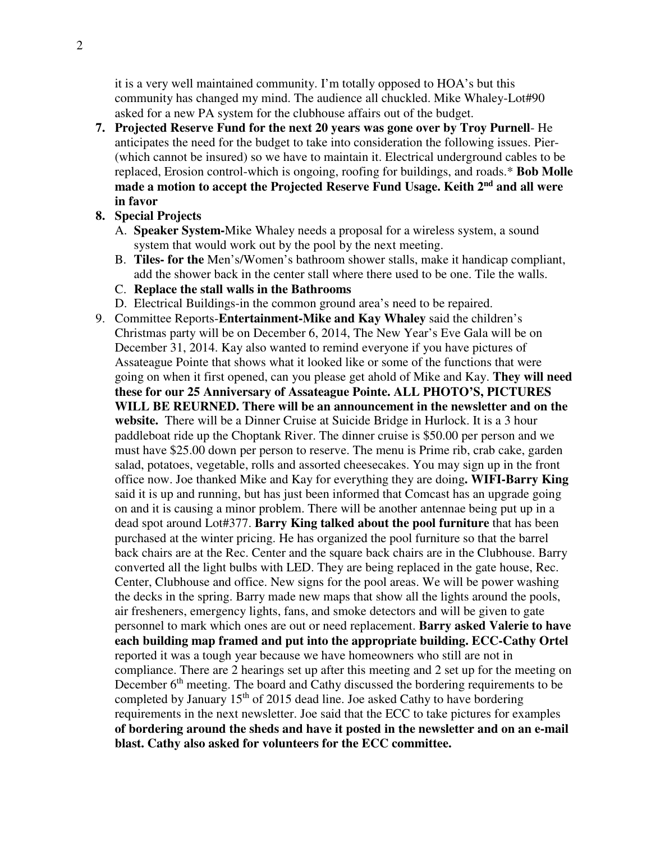it is a very well maintained community. I'm totally opposed to HOA's but this community has changed my mind. The audience all chuckled. Mike Whaley-Lot#90 asked for a new PA system for the clubhouse affairs out of the budget.

- **7. Projected Reserve Fund for the next 20 years was gone over by Troy Purnell** He anticipates the need for the budget to take into consideration the following issues. Pier- (which cannot be insured) so we have to maintain it. Electrical underground cables to be replaced, Erosion control-which is ongoing, roofing for buildings, and roads.\* **Bob Molle made a motion to accept the Projected Reserve Fund Usage. Keith 2nd and all were in favor**
- **8. Special Projects** 
	- A. **Speaker System-**Mike Whaley needs a proposal for a wireless system, a sound system that would work out by the pool by the next meeting.
	- B. **Tiles- for the** Men's/Women's bathroom shower stalls, make it handicap compliant, add the shower back in the center stall where there used to be one. Tile the walls.
	- C. **Replace the stall walls in the Bathrooms**
	- D. Electrical Buildings-in the common ground area's need to be repaired.
- 9. Committee Reports-**Entertainment-Mike and Kay Whaley** said the children's Christmas party will be on December 6, 2014, The New Year's Eve Gala will be on December 31, 2014. Kay also wanted to remind everyone if you have pictures of Assateague Pointe that shows what it looked like or some of the functions that were going on when it first opened, can you please get ahold of Mike and Kay. **They will need these for our 25 Anniversary of Assateague Pointe. ALL PHOTO'S, PICTURES WILL BE REURNED. There will be an announcement in the newsletter and on the website.** There will be a Dinner Cruise at Suicide Bridge in Hurlock. It is a 3 hour paddleboat ride up the Choptank River. The dinner cruise is \$50.00 per person and we must have \$25.00 down per person to reserve. The menu is Prime rib, crab cake, garden salad, potatoes, vegetable, rolls and assorted cheesecakes. You may sign up in the front office now. Joe thanked Mike and Kay for everything they are doing**. WIFI-Barry King** said it is up and running, but has just been informed that Comcast has an upgrade going on and it is causing a minor problem. There will be another antennae being put up in a dead spot around Lot#377. **Barry King talked about the pool furniture** that has been purchased at the winter pricing. He has organized the pool furniture so that the barrel back chairs are at the Rec. Center and the square back chairs are in the Clubhouse. Barry converted all the light bulbs with LED. They are being replaced in the gate house, Rec. Center, Clubhouse and office. New signs for the pool areas. We will be power washing the decks in the spring. Barry made new maps that show all the lights around the pools, air fresheners, emergency lights, fans, and smoke detectors and will be given to gate personnel to mark which ones are out or need replacement. **Barry asked Valerie to have each building map framed and put into the appropriate building. ECC-Cathy Ortel**  reported it was a tough year because we have homeowners who still are not in compliance. There are 2 hearings set up after this meeting and 2 set up for the meeting on December  $6<sup>th</sup>$  meeting. The board and Cathy discussed the bordering requirements to be completed by January  $15<sup>th</sup>$  of 2015 dead line. Joe asked Cathy to have bordering requirements in the next newsletter. Joe said that the ECC to take pictures for examples **of bordering around the sheds and have it posted in the newsletter and on an e-mail blast. Cathy also asked for volunteers for the ECC committee.**